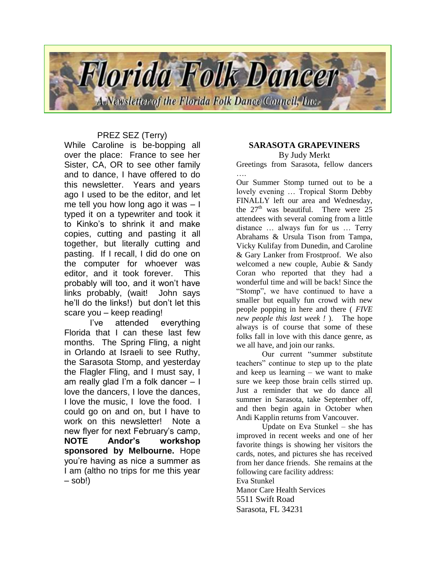

## PREZ SEZ (Terry)

While Caroline is be-bopping all over the place: France to see her Sister, CA, OR to see other family and to dance, I have offered to do this newsletter. Years and years ago I used to be the editor, and let me tell you how long ago it was – I typed it on a typewriter and took it to Kinko's to shrink it and make copies, cutting and pasting it all together, but literally cutting and pasting. If I recall, I did do one on the computer for whoever was editor, and it took forever. This probably will too, and it won't have links probably, (wait! John says he'll do the links!) but don't let this scare you – keep reading!

I've attended everything Florida that I can these last few months. The Spring Fling, a night in Orlando at Israeli to see Ruthy, the Sarasota Stomp, and yesterday the Flagler Fling, and I must say, I am really glad I'm a folk dancer – I love the dancers, I love the dances, I love the music. I love the food. I could go on and on, but I have to work on this newsletter! Note a new flyer for next February's camp, **NOTE Andor's workshop sponsored by Melbourne.** Hope you're having as nice a summer as I am (altho no trips for me this year – sob!)

#### **SARASOTA GRAPEVINERS** By Judy Merkt

Greetings from Sarasota, fellow dancers ….

Our Summer Stomp turned out to be a lovely evening … Tropical Storm Debby FINALLY left our area and Wednesday, the  $27<sup>th</sup>$  was beautiful. There were  $25$ attendees with several coming from a little distance … always fun for us … Terry Abrahams & Ursula Tison from Tampa, Vicky Kulifay from Dunedin, and Caroline & Gary Lanker from Frostproof. We also welcomed a new couple, Aubie & Sandy Coran who reported that they had a wonderful time and will be back! Since the "Stomp", we have continued to have a smaller but equally fun crowd with new people popping in here and there ( *FIVE new people this last week !* ). The hope always is of course that some of these folks fall in love with this dance genre, as we all have, and join our ranks.

Our current "summer substitute teachers" continue to step up to the plate and keep us learning – we want to make sure we keep those brain cells stirred up. Just a reminder that we do dance all summer in Sarasota, take September off, and then begin again in October when Andi Kapplin returns from Vancouver.

Update on Eva Stunkel – she has improved in recent weeks and one of her favorite things is showing her visitors the cards, notes, and pictures she has received from her dance friends. She remains at the following care facility address: Eva Stunkel Manor Care Health Services 5511 Swift Road Sarasota, FL 34231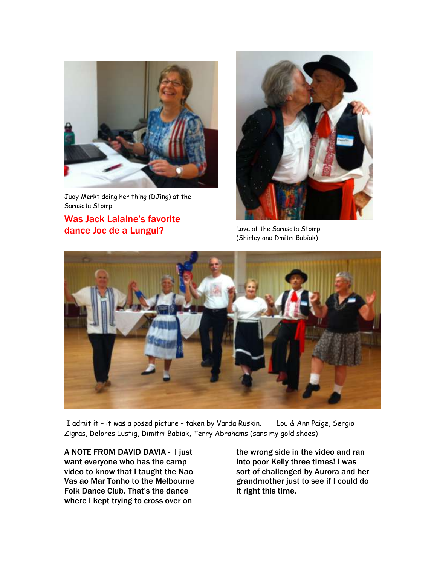

Judy Merkt doing her thing (DJing) at the Sarasota Stomp

## Was Jack Lalaine's favorite dance Joc de a Lungul? Love at the Sarasota Stomp



(Shirley and Dmitri Babiak)



I admit it – it was a posed picture – taken by Varda Ruskin. Lou & Ann Paige, Sergio Zigras, Delores Lustig, Dimitri Babiak, Terry Abrahams (sans my gold shoes)

A NOTE FROM DAVID DAVIA - I just want everyone who has the camp video to know that I taught the Nao Vas ao Mar Tonho to the Melbourne Folk Dance Club. That's the dance where I kept trying to cross over on

the wrong side in the video and ran into poor Kelly three times! I was sort of challenged by Aurora and her grandmother just to see if I could do it right this time.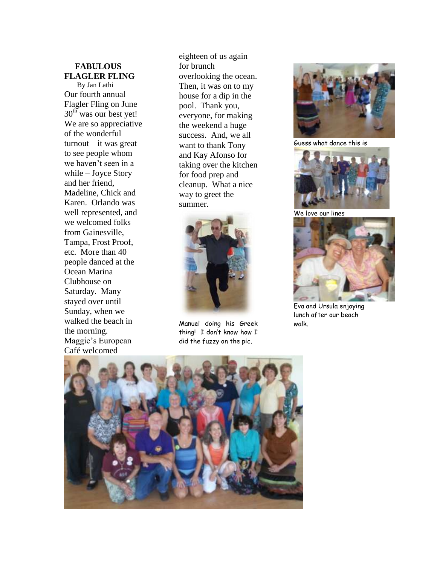## **FABULOUS FLAGLER FLING**

 By Jan Lathi Our fourth annual Flagler Fling on June  $30<sup>th</sup>$  was our best yet! We are so appreciative of the wonderful turnout – it was great to see people whom we haven't seen in a while – Joyce Story and her friend, Madeline, Chick and Karen. Orlando was well represented, and we welcomed folks from Gainesville, Tampa, Frost Proof, etc. More than 40 people danced at the Ocean Marina Clubhouse on Saturday. Many stayed over until Sunday, when we walked the beach in the morning. Maggie's European Café welcomed

eighteen of us again for brunch overlooking the ocean. Then, it was on to my house for a dip in the pool. Thank you, everyone, for making the weekend a huge success. And, we all want to thank Tony and Kay Afonso for taking over the kitchen for food prep and cleanup. What a nice way to greet the summer.



Manuel doing his Greek thing! I don't know how I did the fuzzy on the pic .



Guess what dance this is



We love our lines



Eva and Ursula enjoying lunch after our beach walk.

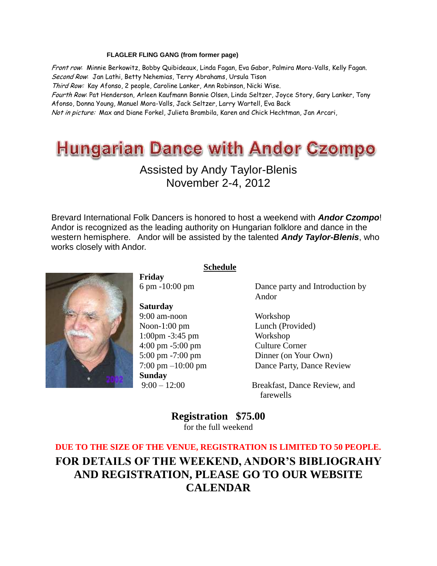#### **FLAGLER FLING GANG (from former page)**

Front row: Minnie Berkowitz, Bobby Quibideaux, Linda Fagan, Eva Gabor, Palmira Mora-Valls, Kelly Fagan. Second Row: Jan Lathi, Betty Nehemias, Terry Abrahams, Ursula Tison Third Row: Kay Afonso, 2 people, Caroline Lanker, Ann Robinson, Nicki Wise. Fourth Row: Pat Henderson, Arleen Kaufmann Bonnie Olsen, Linda Seltzer, Joyce Story, Gary Lanker, Tony Afonso, Donna Young, Manuel Mora-Valls, Jack Seltzer, Larry Wartell, Eva Back Not in picture: Max and Diane Forkel, Julieta Brambila, Karen and Chick Hechtman, Jan Arcari,

# **Hungarian Dance with Andor Czompo**

## Assisted by Andy Taylor-Blenis November 2-4, 2012

Brevard International Folk Dancers is honored to host a weekend with *Andor Czompo*! Andor is recognized as the leading authority on Hungarian folklore and dance in the western hemisphere. Andor will be assisted by the talented *Andy Taylor-Blenis*, who works closely with Andor.

 **Schedule**



**Friday**

**Saturday** 9:00 am-noon Workshop 1:00pm -3:45 pm Workshop 4:00 pm -5:00 pm Culture Corner **Sunday**

6 pm -10:00 pm Dance party and Introduction by Andor

Noon-1:00 pm Lunch (Provided) 5:00 pm -7:00 pm Dinner (on Your Own) 7:00 pm –10:00 pm Dance Party, Dance Review

9:00 – 12:00 Breakfast, Dance Review, and farewells

> **Registration \$75.00** for the full weekend

**DUE TO THE SIZE OF THE VENUE, REGISTRATION IS LIMITED TO 50 PEOPLE. FOR DETAILS OF THE WEEKEND, ANDOR'S BIBLIOGRAHY AND REGISTRATION, PLEASE GO TO OUR WEBSITE CALENDAR**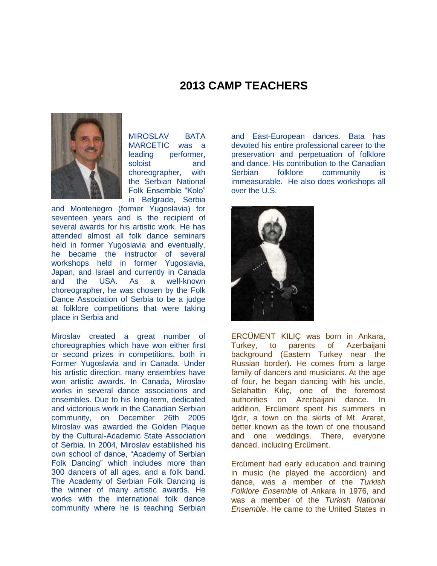## **2013 CAMP TEACHERS**



MIROSLAV BATA MARCETIC was a leading performer. soloist and choreographer, with the Serbian National Folk Ensemble "Kolo" in Belgrade, Serbia

and Montenegro (former Yugoslavia) for seventeen years and is the recipient of several awards for his artistic work. He has attended almost all folk dance seminars held in former Yugoslavia and eventually, he became the instructor of several workshops held in former Yugoslavia, Japan, and Israel and currently in Canada and the USA. As a well-known choreographer, he was chosen by the Folk Dance Association of Serbia to be a judge at folklore competitions that were taking place in Serbia and

Miroslav created a great number of choreographies which have won either first or second prizes in competitions, both in Former Yugoslavia and in Canada. Under his artistic direction, many ensembles have won artistic awards. In Canada, Miroslav works in several dance associations and ensembles. Due to his long-term, dedicated and victorious work in the Canadian Serbian community, on December 26th 2005 Miroslav was awarded the Golden Plaque by the Cultural-Academic State Association of Serbia. In 2004, Miroslav established his own school of dance, "Academy of Serbian Folk Dancing" which includes more than 300 dancers of all ages, and a folk band. The Academy of Serbian Folk Dancing is the winner of many artistic awards. He works with the international folk dance community where he is teaching Serbian

and East-European dances. Bata has devoted his entire professional career to the preservation and perpetuation of folklore and dance. His contribution to the Canadian Serbian folklore community is immeasurable. He also does workshops all over the U.S.



ERCÜMENT KILIÇ was born in Ankara, Turkey, to parents of Azerbaijani background (Eastern Turkey near the Russian border). He comes from a large family of dancers and musicians. At the age of four, he began dancing with his uncle, Selahattin Kılıç, one of the foremost authorities on Azerbaijani dance. In addition, Ercüment spent his summers in Iğdir, a town on the skirts of Mt. Ararat, better known as the town of one thousand and one weddings. There, everyone danced, including Ercüment.

Ercüment had early education and training in music (he played the accordion) and dance, was a member of the *Turkish Folklore Ensemble* of Ankara in 1976, and was a member of the *Turkish National Ensemble*. He came to the United States in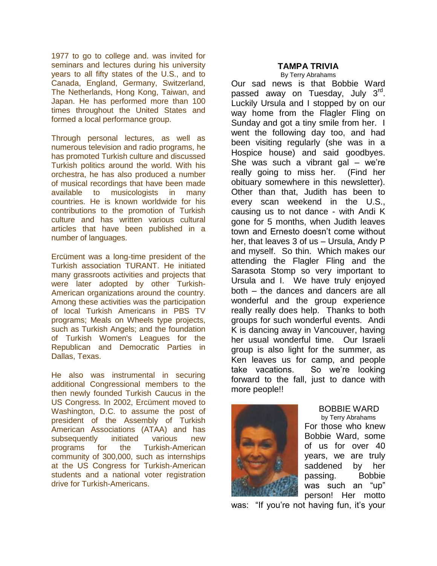1977 to go to college and. was invited for seminars and lectures during his university years to all fifty states of the U.S., and to Canada, England, Germany, Switzerland, The Netherlands, Hong Kong, Taiwan, and Japan. He has performed more than 100 times throughout the United States and formed a local performance group.

Through personal lectures, as well as numerous television and radio programs, he has promoted Turkish culture and discussed Turkish politics around the world. With his orchestra, he has also produced a number of musical recordings that have been made available to musicologists in many countries. He is known worldwide for his contributions to the promotion of Turkish culture and has written various cultural articles that have been published in a number of languages.

Ercüment was a long-time president of the Turkish association TURANT. He initiated many grassroots activities and projects that were later adopted by other Turkish-American organizations around the country. Among these activities was the participation of local Turkish Americans in PBS TV programs; Meals on Wheels type projects, such as Turkish Angels; and the foundation of Turkish Women's Leagues for the Republican and Democratic Parties in Dallas, Texas.

He also was instrumental in securing additional Congressional members to the then newly founded Turkish Caucus in the US Congress. In 2002, Ercüment moved to Washington, D.C. to assume the post of president of the Assembly of Turkish American Associations (ATAA) and has subsequently initiated various new programs for the Turkish-American community of 300,000, such as internships at the US Congress for Turkish-American students and a national voter registration drive for Turkish-Americans.

### **TAMPA TRIVIA**

By Terry Abrahams

Our sad news is that Bobbie Ward passed away on Tuesday, July 3<sup>rd</sup>. Luckily Ursula and I stopped by on our way home from the Flagler Fling on Sunday and got a tiny smile from her. I went the following day too, and had been visiting regularly (she was in a Hospice house) and said goodbyes. She was such a vibrant gal – we're really going to miss her. (Find her obituary somewhere in this newsletter). Other than that, Judith has been to every scan weekend in the U.S., causing us to not dance - with Andi K gone for 5 months, when Judith leaves town and Ernesto doesn't come without her, that leaves 3 of us – Ursula, Andy P and myself. So thin. Which makes our attending the Flagler Fling and the Sarasota Stomp so very important to Ursula and I. We have truly enjoyed both – the dances and dancers are all wonderful and the group experience really really does help. Thanks to both groups for such wonderful events. Andi K is dancing away in Vancouver, having her usual wonderful time. Our Israeli group is also light for the summer, as Ken leaves us for camp, and people take vacations. So we're looking forward to the fall, just to dance with more people!!



#### BOBBIE WARD

 by Terry Abrahams For those who knew Bobbie Ward, some of us for over 40 years, we are truly saddened by her passing. Bobbie was such an "up" person! Her motto

was: "If you're not having fun, it's your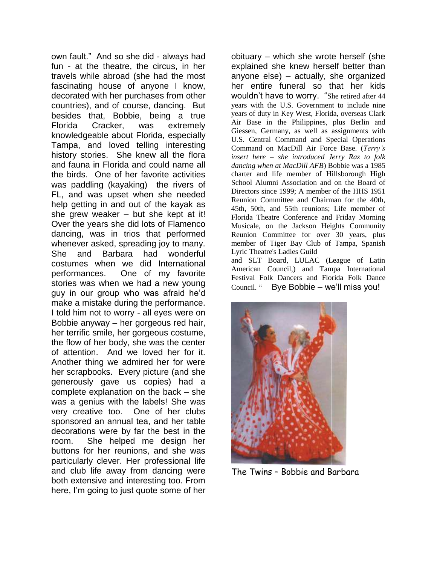own fault." And so she did - always had fun - at the theatre, the circus, in her travels while abroad (she had the most fascinating house of anyone I know, decorated with her purchases from other countries), and of course, dancing. But besides that, Bobbie, being a true Florida Cracker, was extremely knowledgeable about Florida, especially Tampa, and loved telling interesting history stories. She knew all the flora and fauna in Florida and could name all the birds. One of her favorite activities was paddling (kayaking) the rivers of FL, and was upset when she needed help getting in and out of the kayak as she grew weaker – but she kept at it! Over the years she did lots of Flamenco dancing, was in trios that performed whenever asked, spreading joy to many. She and Barbara had wonderful costumes when we did International performances. One of my favorite stories was when we had a new young guy in our group who was afraid he'd make a mistake during the performance. I told him not to worry - all eyes were on Bobbie anyway – her gorgeous red hair, her terrific smile, her gorgeous costume, the flow of her body, she was the center of attention. And we loved her for it. Another thing we admired her for were her scrapbooks. Every picture (and she generously gave us copies) had a complete explanation on the back – she was a genius with the labels! She was very creative too. One of her clubs sponsored an annual tea, and her table decorations were by far the best in the room. She helped me design her buttons for her reunions, and she was particularly clever. Her professional life and club life away from dancing were both extensive and interesting too. From here, I'm going to just quote some of her

obituary – which she wrote herself (she explained she knew herself better than anyone else) – actually, she organized her entire funeral so that her kids wouldn't have to worry. "She retired after 44 years with the U.S. Government to include nine years of duty in Key West, Florida, overseas Clark Air Base in the Philippines, plus Berlin and Giessen, Germany, as well as assignments with U.S. Central Command and Special Operations Command on MacDill Air Force Base. (*Terry's insert here – she introduced Jerry Raz to folk dancing when at MacDill AFB*) Bobbie was a 1985 charter and life member of Hillsborough High School Alumni Association and on the Board of Directors since 1999; A member of the HHS 1951 Reunion Committee and Chairman for the 40th, 45th, 50th, and 55th reunions; Life member of Florida Theatre Conference and Friday Morning Musicale, on the Jackson Heights Community Reunion Committee for over 30 years, plus member of Tiger Bay Club of Tampa, Spanish Lyric Theatre's Ladies Guild

and SLT Board, LULAC (League of Latin American Council,) and Tampa International Festival Folk Dancers and Florida Folk Dance Council. " Bye Bobbie – we'll miss you!



The Twins – Bobbie and Barbara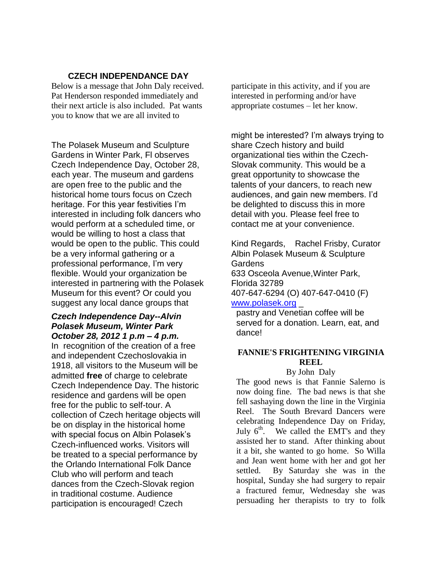## **CZECH INDEPENDANCE DAY**

Below is a message that John Daly received. Pat Henderson responded immediately and their next article is also included. Pat wants you to know that we are all invited to

The Polasek Museum and Sculpture Gardens in Winter Park, Fl observes Czech Independence Day, October 28, each year. The museum and gardens are open free to the public and the historical home tours focus on Czech heritage. For this year festivities I'm interested in including folk dancers who would perform at a scheduled time, or would be willing to host a class that would be open to the public. This could be a very informal gathering or a professional performance, I'm very flexible. Would your organization be interested in partnering with the Polasek Museum for this event? Or could you suggest any local dance groups that

#### *Czech Independence Day--Alvin Polasek Museum, Winter Park October 28, 2012 1 p.m – 4 p.m.*

In recognition of the creation of a free and independent Czechoslovakia in 1918, all visitors to the Museum will be admitted **free** of charge to celebrate Czech Independence Day. The historic residence and gardens will be open free for the public to self-tour. A collection of Czech heritage objects will be on display in the historical home with special focus on Albin Polasek's Czech-influenced works. Visitors will be treated to a special performance by the Orlando International Folk Dance Club who will perform and teach dances from the Czech-Slovak region in traditional costume. Audience participation is encouraged! Czech

participate in this activity, and if you are interested in performing and/or have appropriate costumes – let her know.

might be interested? I'm always trying to share Czech history and build organizational ties within the Czech-Slovak community. This would be a great opportunity to showcase the talents of your dancers, to reach new audiences, and gain new members. I'd be delighted to discuss this in more detail with you. Please feel free to contact me at your convenience.

Kind Regards, Rachel Frisby, Curator Albin Polasek Museum & Sculpture **Gardens** 633 Osceola Avenue,Winter Park, Florida 32789 407-647-6294 (O) 407-647-0410 (F) [www.polasek.org](http://www.polasek.org/)

pastry and Venetian coffee will be served for a donation. Learn, eat, and dance!

### **FANNIE'S FRIGHTENING VIRGINIA REEL**

By John Daly

The good news is that Fannie Salerno is now doing fine. The bad news is that she fell sashaying down the line in the Virginia Reel. The South Brevard Dancers were celebrating Independence Day on Friday, July  $6<sup>th</sup>$ . We called the EMT's and they assisted her to stand. After thinking about it a bit, she wanted to go home. So Willa and Jean went home with her and got her settled. By Saturday she was in the hospital, Sunday she had surgery to repair a fractured femur, Wednesday she was persuading her therapists to try to folk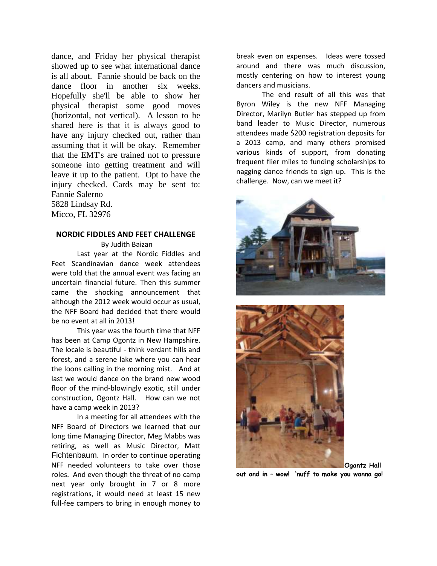dance, and Friday her physical therapist showed up to see what international dance is all about. Fannie should be back on the dance floor in another six weeks. Hopefully she'll be able to show her physical therapist some good moves (horizontal, not vertical). A lesson to be shared here is that it is always good to have any injury checked out, rather than assuming that it will be okay. Remember that the EMT's are trained not to pressure someone into getting treatment and will leave it up to the patient. Opt to have the injury checked. Cards may be sent to: Fannie Salerno

5828 Lindsay Rd. Micco, FL 32976

#### **NORDIC FIDDLES AND FEET CHALLENGE**

By Judith Baizan

Last year at the Nordic Fiddles and Feet Scandinavian dance week attendees were told that the annual event was facing an uncertain financial future. Then this summer came the shocking announcement that although the 2012 week would occur as usual, the NFF Board had decided that there would be no event at all in 2013!

This year was the fourth time that NFF has been at Camp Ogontz in New Hampshire. The locale is beautiful - think verdant hills and forest, and a serene lake where you can hear the loons calling in the morning mist. And at last we would dance on the brand new wood floor of the mind-blowingly exotic, still under construction, Ogontz Hall. How can we not have a camp week in 2013?

In a meeting for all attendees with the NFF Board of Directors we learned that our long time Managing Director, Meg Mabbs was retiring, as well as Music Director, Matt Fichtenbaum. In order to continue operating NFF needed volunteers to take over those roles. And even though the threat of no camp next year only brought in 7 or 8 more registrations, it would need at least 15 new full-fee campers to bring in enough money to

break even on expenses. Ideas were tossed around and there was much discussion, mostly centering on how to interest young dancers and musicians.

The end result of all this was that Byron Wiley is the new NFF Managing Director, Marilyn Butler has stepped up from band leader to Music Director, numerous attendees made \$200 registration deposits for a 2013 camp, and many others promised various kinds of support, from donating frequent flier miles to funding scholarships to nagging dance friends to sign up. This is the challenge. Now, can we meet it?





**out and in – wow! 'nuff to make you wanna go!**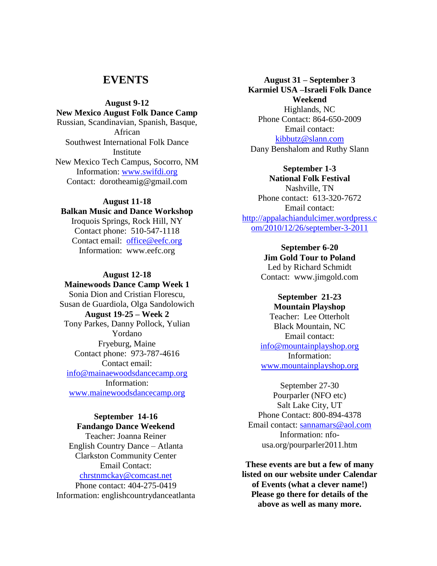## **EVENTS**

#### **August 9-12**

**New Mexico August Folk Dance Camp** Russian, Scandinavian, Spanish, Basque, African Southwest International Folk Dance **Institute** New Mexico Tech Campus, Socorro, NM Information: [www.swifdi.org](http://www.swifdi.org/) Contact: dorotheamig@gmail.com

#### **August 11-18**

## **Balkan Music and Dance Workshop**

Iroquois Springs, Rock Hill, NY Contact phone: 510-547-1118 Contact email: [office@eefc.org](mailto:office@eefc.org) Information: www.eefc.org

#### **August 12-18**

## **Mainewoods Dance Camp Week 1** Sonia Dion and Cristian Florescu, Susan de Guardiola, Olga Sandolowich **August 19-25 – Week 2** Tony Parkes, Danny Pollock, Yulian Yordano Fryeburg, Maine Contact phone: 973-787-4616 Contact email: [info@mainaewoodsdancecamp.org](mailto:info@mainaewoodsdancecamp.org) Information: [www.mainewoodsdancecamp.org](http://www.mainewoodsdancecamp.org/)

## **September 14-16**

## **Fandango Dance Weekend** Teacher: Joanna Reiner

English Country Dance – Atlanta Clarkston Community Center Email Contact: [chrstnmckay@comcast.net](mailto:chrstnmckay@comcast.net) Phone contact: 404-275-0419 Information: englishcountrydanceatlanta

**August 31 – September 3 Karmiel USA –Israeli Folk Dance Weekend** Highlands, NC Phone Contact: 864-650-2009 Email contact: [kibbutz@slann.com](mailto:kibbutz@slann.com) Dany Benshalom and Ruthy Slann

#### **September 1-3**

**National Folk Festival** Nashville, TN Phone contact: 613-320-7672 Email contact: [http://appalachiandulcimer.wordpress.c](http://appalachiandulcimer.wordpress.com/2010/12/26/september-3-2011) [om/2010/12/26/september-3-2011](http://appalachiandulcimer.wordpress.com/2010/12/26/september-3-2011)

> **September 6-20 Jim Gold Tour to Poland** Led by Richard Schmidt Contact: www.jimgold.com

#### **September 21-23 Mountain Playshop** Teacher: Lee Otterholt Black Mountain, NC

Email contact: [info@mountainplayshop.org](mailto:info@mountainplayshop.org) Information: [www.mountainplayshop.org](http://www.mountainplayshop.org/)

September 27-30 Pourparler (NFO etc) Salt Lake City, UT Phone Contact: 800-894-4378 Email contact: [sannamars@aol.com](mailto:sannamars@aol.com) Information: nfousa.org/pourparler2011.htm

**These events are but a few of many listed on our website under Calendar of Events (what a clever name!) Please go there for details of the above as well as many more.**